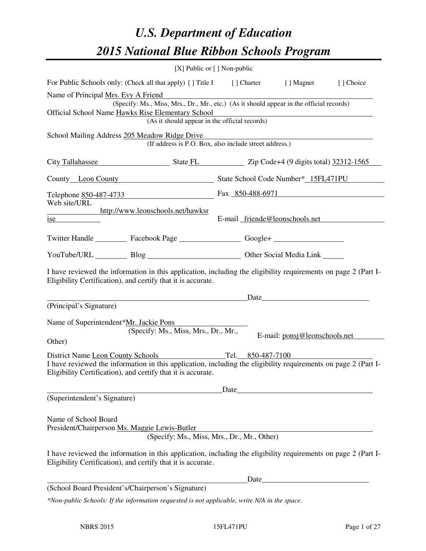# *U.S. Department of Education 2015 National Blue Ribbon Schools Program*

|                                                                                                                                                                                                                                                         | [X] Public or $[$ ] Non-public |                                                        |                                                                                                                      |           |
|---------------------------------------------------------------------------------------------------------------------------------------------------------------------------------------------------------------------------------------------------------|--------------------------------|--------------------------------------------------------|----------------------------------------------------------------------------------------------------------------------|-----------|
| For Public Schools only: (Check all that apply) [ ] Title I [ ] Charter [ ] Magnet                                                                                                                                                                      |                                |                                                        |                                                                                                                      | [] Choice |
| Name of Principal Mrs. Evy A Friend<br>(Specify: Ms., Miss, Mrs., Dr., Mr., etc.) (As it should appear in the official records)<br>Official School Name Hawks Rise Elementary School                                                                    |                                | (As it should appear in the official records)          |                                                                                                                      |           |
| School Mailing Address 205 Meadow Ridge Drive                                                                                                                                                                                                           |                                | (If address is P.O. Box, also include street address.) |                                                                                                                      |           |
| City Tallahassee State FL Zip Code+4 (9 digits total) 32312-1565                                                                                                                                                                                        |                                |                                                        |                                                                                                                      |           |
| County Leon County State School Code Number* 15FL471PU                                                                                                                                                                                                  |                                |                                                        |                                                                                                                      |           |
| Telephone 850-487-4733                                                                                                                                                                                                                                  |                                |                                                        | Fax 850-488-6971                                                                                                     |           |
| Web site/URL<br>http://www.leonschools.net/hawksr<br>ise                                                                                                                                                                                                |                                |                                                        | E-mail friende@leonschools.net                                                                                       |           |
| Twitter Handle ___________ Facebook Page ____________________ Google+ ___________                                                                                                                                                                       |                                |                                                        |                                                                                                                      |           |
| YouTube/URL Blog Blog Discount Cher Social Media Link                                                                                                                                                                                                   |                                |                                                        |                                                                                                                      |           |
| I have reviewed the information in this application, including the eligibility requirements on page 2 (Part I-<br>Eligibility Certification), and certify that it is accurate.                                                                          |                                |                                                        |                                                                                                                      |           |
| (Principal's Signature)                                                                                                                                                                                                                                 |                                |                                                        | Date                                                                                                                 |           |
| Name of Superintendent*Mr. Jackie Pons<br>(Specify: Ms., Miss, Mrs., Dr., Mr.,<br>Other)                                                                                                                                                                |                                |                                                        | E-mail: ponsj@leonschools.net                                                                                        |           |
| District Name Leon County Schools Tel. 850-487-7100<br>I have reviewed the information in this application, including the eligibility requirements on page 2 (Part I-<br>Eligibility Certification), and certify that it is accurate.                   |                                |                                                        |                                                                                                                      |           |
| (Superintendent's Signature)                                                                                                                                                                                                                            |                                | Date                                                   |                                                                                                                      |           |
| Name of School Board<br>President/Chairperson Ms. Maggie Lewis-Butler<br>I have reviewed the information in this application, including the eligibility requirements on page 2 (Part I-<br>Eligibility Certification), and certify that it is accurate. |                                | (Specify: Ms., Miss, Mrs., Dr., Mr., Other)            |                                                                                                                      |           |
| (School Board President's/Chairperson's Signature)                                                                                                                                                                                                      |                                | Date                                                   | <u> 1989 - Johann Barn, mars ar breithinn ar breithinn ar breithinn ar breithinn ar breithinn ar breithinn ar br</u> |           |
| *Non-public Schools: If the information requested is not applicable, write N/A in the space.                                                                                                                                                            |                                |                                                        |                                                                                                                      |           |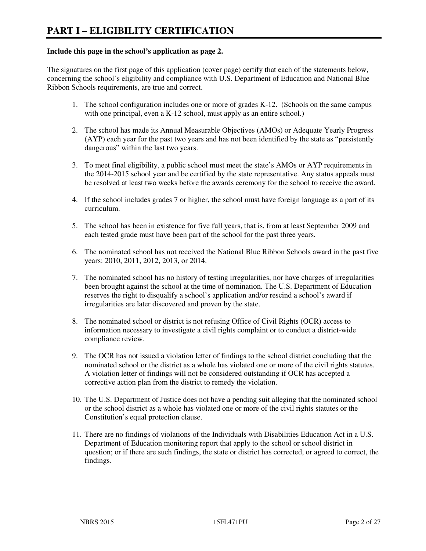#### **Include this page in the school's application as page 2.**

The signatures on the first page of this application (cover page) certify that each of the statements below, concerning the school's eligibility and compliance with U.S. Department of Education and National Blue Ribbon Schools requirements, are true and correct.

- 1. The school configuration includes one or more of grades K-12. (Schools on the same campus with one principal, even a K-12 school, must apply as an entire school.)
- 2. The school has made its Annual Measurable Objectives (AMOs) or Adequate Yearly Progress (AYP) each year for the past two years and has not been identified by the state as "persistently dangerous" within the last two years.
- 3. To meet final eligibility, a public school must meet the state's AMOs or AYP requirements in the 2014-2015 school year and be certified by the state representative. Any status appeals must be resolved at least two weeks before the awards ceremony for the school to receive the award.
- 4. If the school includes grades 7 or higher, the school must have foreign language as a part of its curriculum.
- 5. The school has been in existence for five full years, that is, from at least September 2009 and each tested grade must have been part of the school for the past three years.
- 6. The nominated school has not received the National Blue Ribbon Schools award in the past five years: 2010, 2011, 2012, 2013, or 2014.
- 7. The nominated school has no history of testing irregularities, nor have charges of irregularities been brought against the school at the time of nomination. The U.S. Department of Education reserves the right to disqualify a school's application and/or rescind a school's award if irregularities are later discovered and proven by the state.
- 8. The nominated school or district is not refusing Office of Civil Rights (OCR) access to information necessary to investigate a civil rights complaint or to conduct a district-wide compliance review.
- 9. The OCR has not issued a violation letter of findings to the school district concluding that the nominated school or the district as a whole has violated one or more of the civil rights statutes. A violation letter of findings will not be considered outstanding if OCR has accepted a corrective action plan from the district to remedy the violation.
- 10. The U.S. Department of Justice does not have a pending suit alleging that the nominated school or the school district as a whole has violated one or more of the civil rights statutes or the Constitution's equal protection clause.
- 11. There are no findings of violations of the Individuals with Disabilities Education Act in a U.S. Department of Education monitoring report that apply to the school or school district in question; or if there are such findings, the state or district has corrected, or agreed to correct, the findings.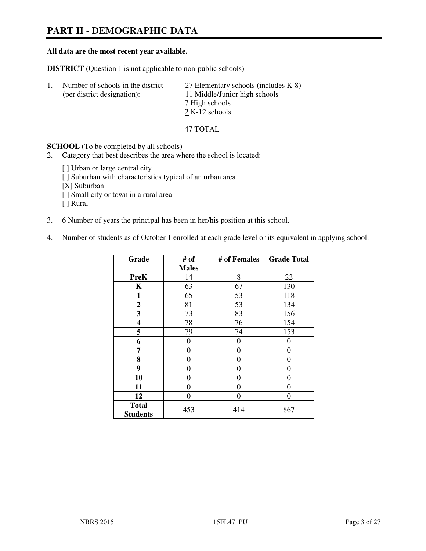# **PART II - DEMOGRAPHIC DATA**

#### **All data are the most recent year available.**

**DISTRICT** (Question 1 is not applicable to non-public schools)

| Number of schools in the district<br>(per district designation): | 27 Elementary schools (includes K-8)<br>11 Middle/Junior high schools |
|------------------------------------------------------------------|-----------------------------------------------------------------------|
|                                                                  | 7 High schools<br>2 K-12 schools                                      |

47 TOTAL

**SCHOOL** (To be completed by all schools)

- 2. Category that best describes the area where the school is located:
	- [ ] Urban or large central city
	- [ ] Suburban with characteristics typical of an urban area
	- [X] Suburban
	- [ ] Small city or town in a rural area
	- [ ] Rural
- 3. 6 Number of years the principal has been in her/his position at this school.
- 4. Number of students as of October 1 enrolled at each grade level or its equivalent in applying school:

| Grade                           | # of         | # of Females | <b>Grade Total</b> |
|---------------------------------|--------------|--------------|--------------------|
|                                 | <b>Males</b> |              |                    |
| <b>PreK</b>                     | 14           | 8            | 22                 |
| K                               | 63           | 67           | 130                |
| 1                               | 65           | 53           | 118                |
| $\overline{2}$                  | 81           | 53           | 134                |
| 3                               | 73           | 83           | 156                |
| 4                               | 78           | 76           | 154                |
| 5                               | 79           | 74           | 153                |
| 6                               | $\theta$     | $\theta$     | $_{0}$             |
| 7                               | $\theta$     | $\theta$     | 0                  |
| 8                               | $\theta$     | 0            | 0                  |
| 9                               | $\theta$     | 0            | 0                  |
| 10                              | $\theta$     | 0            | 0                  |
| 11                              | $\Omega$     | $\Omega$     | 0                  |
| 12                              | 0            | 0            | 0                  |
| <b>Total</b><br><b>Students</b> | 453          | 414          | 867                |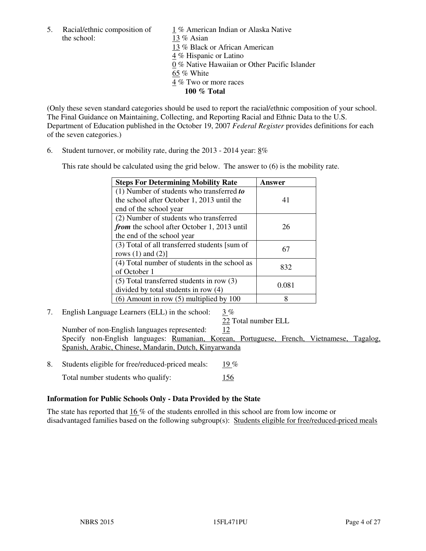5. Racial/ethnic composition of  $\frac{1}{13}$  % American Indian or Alaska Native the school:  $\frac{13}{8}$  Asian 13 % Asian 13 % Black or African American 4 % Hispanic or Latino 0 % Native Hawaiian or Other Pacific Islander 65 % White 4 % Two or more races **100 % Total** 

(Only these seven standard categories should be used to report the racial/ethnic composition of your school. The Final Guidance on Maintaining, Collecting, and Reporting Racial and Ethnic Data to the U.S. Department of Education published in the October 19, 2007 *Federal Register* provides definitions for each of the seven categories.)

6. Student turnover, or mobility rate, during the 2013 - 2014 year: 8%

This rate should be calculated using the grid below. The answer to (6) is the mobility rate.

| <b>Steps For Determining Mobility Rate</b>         | Answer |
|----------------------------------------------------|--------|
| $(1)$ Number of students who transferred to        |        |
| the school after October 1, 2013 until the         | 41     |
| end of the school year                             |        |
| (2) Number of students who transferred             |        |
| <i>from</i> the school after October 1, 2013 until | 26     |
| the end of the school year                         |        |
| (3) Total of all transferred students [sum of      | 67     |
| rows $(1)$ and $(2)$ ]                             |        |
| (4) Total number of students in the school as      | 832    |
| of October 1                                       |        |
| $(5)$ Total transferred students in row $(3)$      |        |
| divided by total students in row (4)               | 0.081  |
| $(6)$ Amount in row $(5)$ multiplied by 100        | 8      |

7. English Language Learners (ELL) in the school: 3 %

22 Total number ELL

Number of non-English languages represented: 12 Specify non-English languages: Rumanian, Korean, Portuguese, French, Vietnamese, Tagalog, Spanish, Arabic, Chinese, Mandarin, Dutch, Kinyarwanda

- 8. Students eligible for free/reduced-priced meals: 19 %
	- Total number students who qualify: 156

# **Information for Public Schools Only - Data Provided by the State**

The state has reported that  $16\%$  of the students enrolled in this school are from low income or disadvantaged families based on the following subgroup(s): Students eligible for free/reduced-priced meals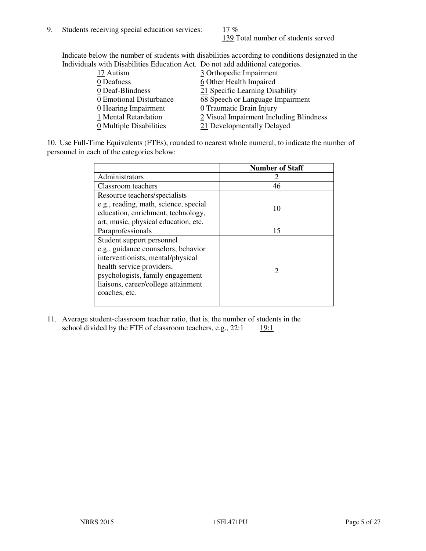139 Total number of students served

Indicate below the number of students with disabilities according to conditions designated in the Individuals with Disabilities Education Act. Do not add additional categories.

| THE LEW CONSTRUCTION OF THE CONSTRUCTION OF THE CONSTRUCTION OF A LOCAL CONSTRUCTION OF A CONSTRUCTION OF THE CONSTRUCTION OF THE CONSTRUCTION OF THE CONSTRUCTION OF THE CONSTRUCTION OF THE CONSTRUCTION OF THE CONSTRUCTIO |                                         |
|-------------------------------------------------------------------------------------------------------------------------------------------------------------------------------------------------------------------------------|-----------------------------------------|
| 17 Autism                                                                                                                                                                                                                     | 3 Orthopedic Impairment                 |
| 0 Deafness                                                                                                                                                                                                                    | 6 Other Health Impaired                 |
| 0 Deaf-Blindness                                                                                                                                                                                                              | 21 Specific Learning Disability         |
| 0 Emotional Disturbance                                                                                                                                                                                                       | 68 Speech or Language Impairment        |
| $\underline{0}$ Hearing Impairment                                                                                                                                                                                            | 0 Traumatic Brain Injury                |
| 1 Mental Retardation                                                                                                                                                                                                          | 2 Visual Impairment Including Blindness |
| 0 Multiple Disabilities                                                                                                                                                                                                       | 21 Developmentally Delayed              |
|                                                                                                                                                                                                                               |                                         |

10. Use Full-Time Equivalents (FTEs), rounded to nearest whole numeral, to indicate the number of personnel in each of the categories below:

|                                       | <b>Number of Staff</b>      |
|---------------------------------------|-----------------------------|
| Administrators                        |                             |
| Classroom teachers                    | 46                          |
| Resource teachers/specialists         |                             |
| e.g., reading, math, science, special | 10                          |
| education, enrichment, technology,    |                             |
| art, music, physical education, etc.  |                             |
| Paraprofessionals                     | 15                          |
| Student support personnel             |                             |
| e.g., guidance counselors, behavior   |                             |
| interventionists, mental/physical     |                             |
| health service providers,             | $\mathcal{D}_{\mathcal{L}}$ |
| psychologists, family engagement      |                             |
| liaisons, career/college attainment   |                             |
| coaches, etc.                         |                             |
|                                       |                             |

11. Average student-classroom teacher ratio, that is, the number of students in the school divided by the FTE of classroom teachers, e.g.,  $22:1$  19:1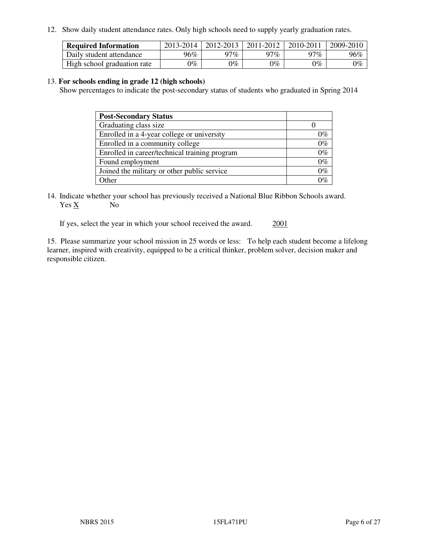12. Show daily student attendance rates. Only high schools need to supply yearly graduation rates.

| <b>Required Information</b> | 2013-2014     | 2012-2013       | 2011-2012 | 2010-2011 | 2009-2010 |
|-----------------------------|---------------|-----------------|-----------|-----------|-----------|
| Daily student attendance    | 96%           | 97%             | າ7 $\%$   | $17\%$    | 96%       |
| High school graduation rate | $\gamma_{\%}$ | $\mathcal{V}_o$ | $0\%$     | 0%        | 0%        |

#### 13. **For schools ending in grade 12 (high schools)**

Show percentages to indicate the post-secondary status of students who graduated in Spring 2014

| <b>Post-Secondary Status</b>                  |       |
|-----------------------------------------------|-------|
| Graduating class size                         |       |
| Enrolled in a 4-year college or university    | 0%    |
| Enrolled in a community college               | $0\%$ |
| Enrolled in career/technical training program | $0\%$ |
| Found employment                              | $0\%$ |
| Joined the military or other public service   | $0\%$ |
| Other                                         |       |

14. Indicate whether your school has previously received a National Blue Ribbon Schools award. Yes X No

If yes, select the year in which your school received the award. 2001

15. Please summarize your school mission in 25 words or less: To help each student become a lifelong learner, inspired with creativity, equipped to be a critical thinker, problem solver, decision maker and responsible citizen.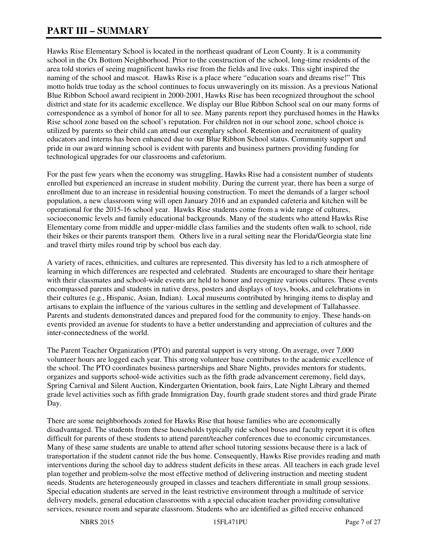# **PART III – SUMMARY**

Hawks Rise Elementary School is located in the northeast quadrant of Leon County. It is a community school in the Ox Bottom Neighborhood. Prior to the construction of the school, long-time residents of the area told stories of seeing magnificent hawks rise from the fields and live oaks. This sight inspired the naming of the school and mascot. Hawks Rise is a place where "education soars and dreams rise!" This motto holds true today as the school continues to focus unwaveringly on its mission. As a previous National Blue Ribbon School award recipient in 2000-2001, Hawks Rise has been recognized throughout the school district and state for its academic excellence. We display our Blue Ribbon School seal on our many forms of correspondence as a symbol of honor for all to see. Many parents report they purchased homes in the Hawks Rise school zone based on the school's reputation. For children not in our school zone, school choice is utilized by parents so their child can attend our exemplary school. Retention and recruitment of quality educators and interns has been enhanced due to our Blue Ribbon School status. Community support and pride in our award winning school is evident with parents and business partners providing funding for technological upgrades for our classrooms and cafetorium.

For the past few years when the economy was struggling, Hawks Rise had a consistent number of students enrolled but experienced an increase in student mobility. During the current year, there has been a surge of enrollment due to an increase in residential housing construction. To meet the demands of a larger school population, a new classroom wing will open January 2016 and an expanded cafeteria and kitchen will be operational for the 2015-16 school year. Hawks Rise students come from a wide range of cultures, socioeconomic levels and family educational backgrounds. Many of the students who attend Hawks Rise Elementary come from middle and upper-middle class families and the students often walk to school, ride their bikes or their parents transport them. Others live in a rural setting near the Florida/Georgia state line and travel thirty miles round trip by school bus each day.

A variety of races, ethnicities, and cultures are represented. This diversity has led to a rich atmosphere of learning in which differences are respected and celebrated. Students are encouraged to share their heritage with their classmates and school-wide events are held to honor and recognize various cultures. These events encompassed parents and students in native dress, posters and displays of toys, books, and celebrations in their cultures (e.g., Hispanic, Asian, Indian). Local museums contributed by bringing items to display and artisans to explain the influence of the various cultures in the settling and development of Tallahassee. Parents and students demonstrated dances and prepared food for the community to enjoy. These hands-on events provided an avenue for students to have a better understanding and appreciation of cultures and the inter-connectedness of the world.

The Parent Teacher Organization (PTO) and parental support is very strong. On average, over 7,000 volunteer hours are logged each year. This strong volunteer base contributes to the academic excellence of the school. The PTO coordinates business partnerships and Share Nights, provides mentors for students, organizes and supports school-wide activities such as the fifth grade advancement ceremony, field days, Spring Carnival and Silent Auction, Kindergarten Orientation, book fairs, Late Night Library and themed grade level activities such as fifth grade Immigration Day, fourth grade student stores and third grade Pirate Day.

There are some neighborhoods zoned for Hawks Rise that house families who are economically disadvantaged. The students from these households typically ride school buses and faculty report it is often difficult for parents of these students to attend parent/teacher conferences due to economic circumstances. Many of these same students are unable to attend after school tutoring sessions because there is a lack of transportation if the student cannot ride the bus home. Consequently, Hawks Rise provides reading and math interventions during the school day to address student deficits in these areas. All teachers in each grade level plan together and problem-solve the most effective method of delivering instruction and meeting student needs. Students are heterogeneously grouped in classes and teachers differentiate in small group sessions. Special education students are served in the least restrictive environment through a multitude of service delivery models, general education classrooms with a special education teacher providing consultative services, resource room and separate classroom. Students who are identified as gifted receive enhanced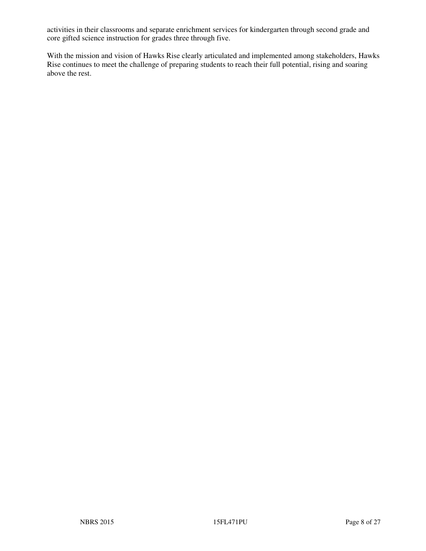activities in their classrooms and separate enrichment services for kindergarten through second grade and core gifted science instruction for grades three through five.

With the mission and vision of Hawks Rise clearly articulated and implemented among stakeholders, Hawks Rise continues to meet the challenge of preparing students to reach their full potential, rising and soaring above the rest.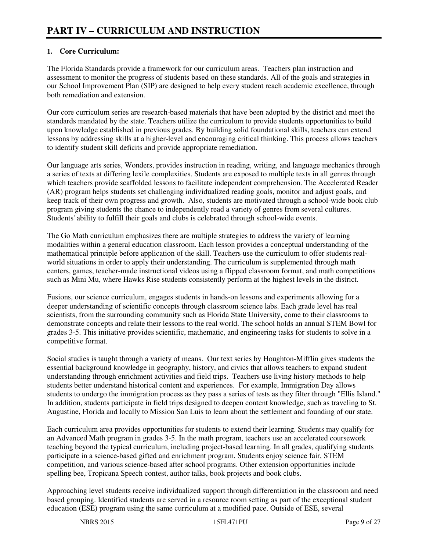# **1. Core Curriculum:**

The Florida Standards provide a framework for our curriculum areas. Teachers plan instruction and assessment to monitor the progress of students based on these standards. All of the goals and strategies in our School Improvement Plan (SIP) are designed to help every student reach academic excellence, through both remediation and extension.

Our core curriculum series are research-based materials that have been adopted by the district and meet the standards mandated by the state. Teachers utilize the curriculum to provide students opportunities to build upon knowledge established in previous grades. By building solid foundational skills, teachers can extend lessons by addressing skills at a higher-level and encouraging critical thinking. This process allows teachers to identify student skill deficits and provide appropriate remediation.

Our language arts series, Wonders, provides instruction in reading, writing, and language mechanics through a series of texts at differing lexile complexities. Students are exposed to multiple texts in all genres through which teachers provide scaffolded lessons to facilitate independent comprehension. The Accelerated Reader (AR) program helps students set challenging individualized reading goals, monitor and adjust goals, and keep track of their own progress and growth. Also, students are motivated through a school-wide book club program giving students the chance to independently read a variety of genres from several cultures. Students' ability to fulfill their goals and clubs is celebrated through school-wide events.

The Go Math curriculum emphasizes there are multiple strategies to address the variety of learning modalities within a general education classroom. Each lesson provides a conceptual understanding of the mathematical principle before application of the skill. Teachers use the curriculum to offer students realworld situations in order to apply their understanding. The curriculum is supplemented through math centers, games, teacher-made instructional videos using a flipped classroom format, and math competitions such as Mini Mu, where Hawks Rise students consistently perform at the highest levels in the district.

Fusions, our science curriculum, engages students in hands-on lessons and experiments allowing for a deeper understanding of scientific concepts through classroom science labs. Each grade level has real scientists, from the surrounding community such as Florida State University, come to their classrooms to demonstrate concepts and relate their lessons to the real world. The school holds an annual STEM Bowl for grades 3-5. This initiative provides scientific, mathematic, and engineering tasks for students to solve in a competitive format.

Social studies is taught through a variety of means. Our text series by Houghton-Mifflin gives students the essential background knowledge in geography, history, and civics that allows teachers to expand student understanding through enrichment activities and field trips. Teachers use living history methods to help students better understand historical content and experiences. For example, Immigration Day allows students to undergo the immigration process as they pass a series of tests as they filter through "Ellis Island." In addition, students participate in field trips designed to deepen content knowledge, such as traveling to St. Augustine, Florida and locally to Mission San Luis to learn about the settlement and founding of our state.

Each curriculum area provides opportunities for students to extend their learning. Students may qualify for an Advanced Math program in grades 3-5. In the math program, teachers use an accelerated coursework teaching beyond the typical curriculum, including project-based learning. In all grades, qualifying students participate in a science-based gifted and enrichment program. Students enjoy science fair, STEM competition, and various science-based after school programs. Other extension opportunities include spelling bee, Tropicana Speech contest, author talks, book projects and book clubs.

Approaching level students receive individualized support through differentiation in the classroom and need based grouping. Identified students are served in a resource room setting as part of the exceptional student education (ESE) program using the same curriculum at a modified pace. Outside of ESE, several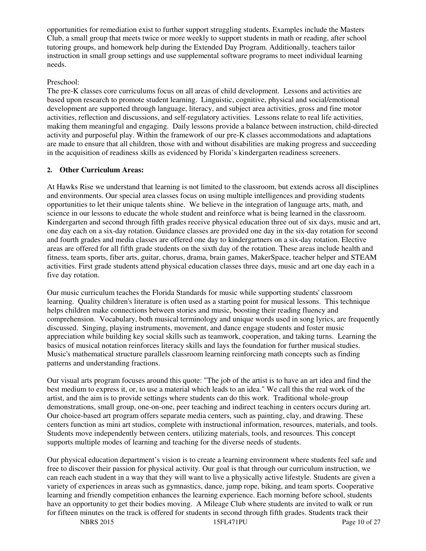opportunities for remediation exist to further support struggling students. Examples include the Masters Club, a small group that meets twice or more weekly to support students in math or reading, after school tutoring groups, and homework help during the Extended Day Program. Additionally, teachers tailor instruction in small group settings and use supplemental software programs to meet individual learning needs.

#### Preschool:

The pre-K classes core curriculums focus on all areas of child development. Lessons and activities are based upon research to promote student learning. Linguistic, cognitive, physical and social/emotional development are supported through language, literacy, and subject area activities, gross and fine motor activities, reflection and discussions, and self-regulatory activities. Lessons relate to real life activities, making them meaningful and engaging. Daily lessons provide a balance between instruction, child-directed activity and purposeful play. Within the framework of our pre-K classes accommodations and adaptations are made to ensure that all children, those with and without disabilities are making progress and succeeding in the acquisition of readiness skills as evidenced by Florida's kindergarten readiness screeners.

# **2. Other Curriculum Areas:**

At Hawks Rise we understand that learning is not limited to the classroom, but extends across all disciplines and environments. Our special area classes focus on using multiple intelligences and providing students opportunities to let their unique talents shine. We believe in the integration of language arts, math, and science in our lessons to educate the whole student and reinforce what is being learned in the classroom. Kindergarten and second through fifth grades receive physical education three out of six days, music and art, one day each on a six-day rotation. Guidance classes are provided one day in the six-day rotation for second and fourth grades and media classes are offered one day to kindergartners on a six-day rotation. Elective areas are offered for all fifth grade students on the sixth day of the rotation. These areas include health and fitness, team sports, fiber arts, guitar, chorus, drama, brain games, MakerSpace, teacher helper and STEAM activities. First grade students attend physical education classes three days, music and art one day each in a five day rotation.

Our music curriculum teaches the Florida Standards for music while supporting students' classroom learning. Quality children's literature is often used as a starting point for musical lessons. This technique helps children make connections between stories and music, boosting their reading fluency and comprehension. Vocabulary, both musical terminology and unique words used in song lyrics, are frequently discussed. Singing, playing instruments, movement, and dance engage students and foster music appreciation while building key social skills such as teamwork, cooperation, and taking turns. Learning the basics of musical notation reinforces literacy skills and lays the foundation for further musical studies. Music's mathematical structure parallels classroom learning reinforcing math concepts such as finding patterns and understanding fractions.

Our visual arts program focuses around this quote: "The job of the artist is to have an art idea and find the best medium to express it, or, to use a material which leads to an idea." We call this the real work of the artist, and the aim is to provide settings where students can do this work. Traditional whole-group demonstrations, small group, one-on-one, peer teaching and indirect teaching in centers occurs during art. Our choice-based art program offers separate media centers, such as painting, clay, and drawing. These centers function as mini art studios, complete with instructional information, resources, materials, and tools. Students move independently between centers, utilizing materials, tools, and resources. This concept supports multiple modes of learning and teaching for the diverse needs of students.

Our physical education department's vision is to create a learning environment where students feel safe and free to discover their passion for physical activity. Our goal is that through our curriculum instruction, we can reach each student in a way that they will want to live a physically active lifestyle. Students are given a variety of experiences in areas such as gymnastics, dance, jump rope, biking, and team sports. Cooperative learning and friendly competition enhances the learning experience. Each morning before school, students have an opportunity to get their bodies moving. A Mileage Club where students are invited to walk or run for fifteen minutes on the track is offered for students in second through fifth grades. Students track their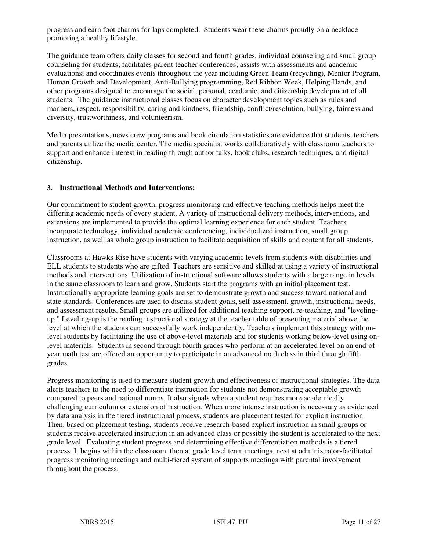progress and earn foot charms for laps completed. Students wear these charms proudly on a necklace promoting a healthy lifestyle.

The guidance team offers daily classes for second and fourth grades, individual counseling and small group counseling for students; facilitates parent-teacher conferences; assists with assessments and academic evaluations; and coordinates events throughout the year including Green Team (recycling), Mentor Program, Human Growth and Development, Anti-Bullying programming, Red Ribbon Week, Helping Hands, and other programs designed to encourage the social, personal, academic, and citizenship development of all students. The guidance instructional classes focus on character development topics such as rules and manners, respect, responsibility, caring and kindness, friendship, conflict/resolution, bullying, fairness and diversity, trustworthiness, and volunteerism.

Media presentations, news crew programs and book circulation statistics are evidence that students, teachers and parents utilize the media center. The media specialist works collaboratively with classroom teachers to support and enhance interest in reading through author talks, book clubs, research techniques, and digital citizenship.

#### **3. Instructional Methods and Interventions:**

Our commitment to student growth, progress monitoring and effective teaching methods helps meet the differing academic needs of every student. A variety of instructional delivery methods, interventions, and extensions are implemented to provide the optimal learning experience for each student. Teachers incorporate technology, individual academic conferencing, individualized instruction, small group instruction, as well as whole group instruction to facilitate acquisition of skills and content for all students.

Classrooms at Hawks Rise have students with varying academic levels from students with disabilities and ELL students to students who are gifted. Teachers are sensitive and skilled at using a variety of instructional methods and interventions. Utilization of instructional software allows students with a large range in levels in the same classroom to learn and grow. Students start the programs with an initial placement test. Instructionally appropriate learning goals are set to demonstrate growth and success toward national and state standards. Conferences are used to discuss student goals, self-assessment, growth, instructional needs, and assessment results. Small groups are utilized for additional teaching support, re-teaching, and "levelingup." Leveling-up is the reading instructional strategy at the teacher table of presenting material above the level at which the students can successfully work independently. Teachers implement this strategy with onlevel students by facilitating the use of above-level materials and for students working below-level using onlevel materials. Students in second through fourth grades who perform at an accelerated level on an end-ofyear math test are offered an opportunity to participate in an advanced math class in third through fifth grades.

Progress monitoring is used to measure student growth and effectiveness of instructional strategies. The data alerts teachers to the need to differentiate instruction for students not demonstrating acceptable growth compared to peers and national norms. It also signals when a student requires more academically challenging curriculum or extension of instruction. When more intense instruction is necessary as evidenced by data analysis in the tiered instructional process, students are placement tested for explicit instruction. Then, based on placement testing, students receive research-based explicit instruction in small groups or students receive accelerated instruction in an advanced class or possibly the student is accelerated to the next grade level. Evaluating student progress and determining effective differentiation methods is a tiered process. It begins within the classroom, then at grade level team meetings, next at administrator-facilitated progress monitoring meetings and multi-tiered system of supports meetings with parental involvement throughout the process.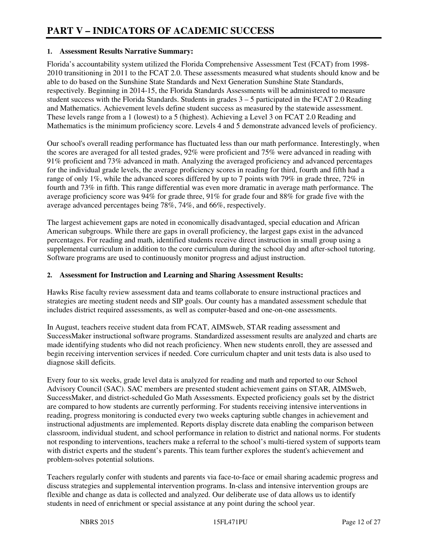#### **1. Assessment Results Narrative Summary:**

Florida's accountability system utilized the Florida Comprehensive Assessment Test (FCAT) from 1998- 2010 transitioning in 2011 to the FCAT 2.0. These assessments measured what students should know and be able to do based on the Sunshine State Standards and Next Generation Sunshine State Standards, respectively. Beginning in 2014-15, the Florida Standards Assessments will be administered to measure student success with the Florida Standards. Students in grades  $3 - 5$  participated in the FCAT 2.0 Reading and Mathematics. Achievement levels define student success as measured by the statewide assessment. These levels range from a 1 (lowest) to a 5 (highest). Achieving a Level 3 on FCAT 2.0 Reading and Mathematics is the minimum proficiency score. Levels 4 and 5 demonstrate advanced levels of proficiency.

Our school's overall reading performance has fluctuated less than our math performance. Interestingly, when the scores are averaged for all tested grades, 92% were proficient and 75% were advanced in reading with 91% proficient and 73% advanced in math. Analyzing the averaged proficiency and advanced percentages for the individual grade levels, the average proficiency scores in reading for third, fourth and fifth had a range of only 1%, while the advanced scores differed by up to 7 points with 79% in grade three, 72% in fourth and 73% in fifth. This range differential was even more dramatic in average math performance. The average proficiency score was 94% for grade three, 91% for grade four and 88% for grade five with the average advanced percentages being 78%, 74%, and 66%, respectively.

The largest achievement gaps are noted in economically disadvantaged, special education and African American subgroups. While there are gaps in overall proficiency, the largest gaps exist in the advanced percentages. For reading and math, identified students receive direct instruction in small group using a supplemental curriculum in addition to the core curriculum during the school day and after-school tutoring. Software programs are used to continuously monitor progress and adjust instruction.

#### **2. Assessment for Instruction and Learning and Sharing Assessment Results:**

Hawks Rise faculty review assessment data and teams collaborate to ensure instructional practices and strategies are meeting student needs and SIP goals. Our county has a mandated assessment schedule that includes district required assessments, as well as computer-based and one-on-one assessments.

In August, teachers receive student data from FCAT, AIMSweb, STAR reading assessment and SuccessMaker instructional software programs. Standardized assessment results are analyzed and charts are made identifying students who did not reach proficiency. When new students enroll, they are assessed and begin receiving intervention services if needed. Core curriculum chapter and unit tests data is also used to diagnose skill deficits.

Every four to six weeks, grade level data is analyzed for reading and math and reported to our School Advisory Council (SAC). SAC members are presented student achievement gains on STAR, AIMSweb, SuccessMaker, and district-scheduled Go Math Assessments. Expected proficiency goals set by the district are compared to how students are currently performing. For students receiving intensive interventions in reading, progress monitoring is conducted every two weeks capturing subtle changes in achievement and instructional adjustments are implemented. Reports display discrete data enabling the comparison between classroom, individual student, and school performance in relation to district and national norms. For students not responding to interventions, teachers make a referral to the school's multi-tiered system of supports team with district experts and the student's parents. This team further explores the student's achievement and problem-solves potential solutions.

Teachers regularly confer with students and parents via face-to-face or email sharing academic progress and discuss strategies and supplemental intervention programs. In-class and intensive intervention groups are flexible and change as data is collected and analyzed. Our deliberate use of data allows us to identify students in need of enrichment or special assistance at any point during the school year.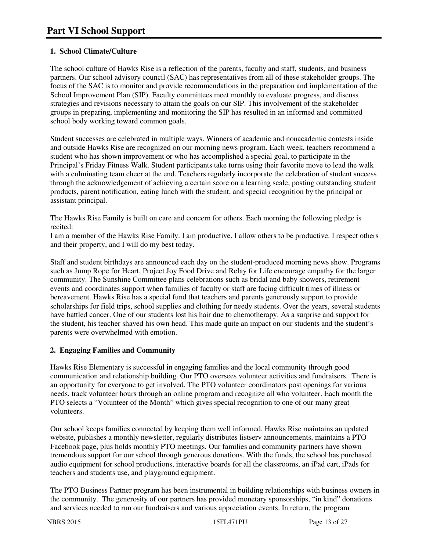# **1. School Climate/Culture**

The school culture of Hawks Rise is a reflection of the parents, faculty and staff, students, and business partners. Our school advisory council (SAC) has representatives from all of these stakeholder groups. The focus of the SAC is to monitor and provide recommendations in the preparation and implementation of the School Improvement Plan (SIP). Faculty committees meet monthly to evaluate progress, and discuss strategies and revisions necessary to attain the goals on our SIP. This involvement of the stakeholder groups in preparing, implementing and monitoring the SIP has resulted in an informed and committed school body working toward common goals.

Student successes are celebrated in multiple ways. Winners of academic and nonacademic contests inside and outside Hawks Rise are recognized on our morning news program. Each week, teachers recommend a student who has shown improvement or who has accomplished a special goal, to participate in the Principal's Friday Fitness Walk. Student participants take turns using their favorite move to lead the walk with a culminating team cheer at the end. Teachers regularly incorporate the celebration of student success through the acknowledgement of achieving a certain score on a learning scale, posting outstanding student products, parent notification, eating lunch with the student, and special recognition by the principal or assistant principal.

The Hawks Rise Family is built on care and concern for others. Each morning the following pledge is recited:

I am a member of the Hawks Rise Family. I am productive. I allow others to be productive. I respect others and their property, and I will do my best today.

Staff and student birthdays are announced each day on the student-produced morning news show. Programs such as Jump Rope for Heart, Project Joy Food Drive and Relay for Life encourage empathy for the larger community. The Sunshine Committee plans celebrations such as bridal and baby showers, retirement events and coordinates support when families of faculty or staff are facing difficult times of illness or bereavement. Hawks Rise has a special fund that teachers and parents generously support to provide scholarships for field trips, school supplies and clothing for needy students. Over the years, several students have battled cancer. One of our students lost his hair due to chemotherapy. As a surprise and support for the student, his teacher shaved his own head. This made quite an impact on our students and the student's parents were overwhelmed with emotion.

# **2. Engaging Families and Community**

Hawks Rise Elementary is successful in engaging families and the local community through good communication and relationship building. Our PTO oversees volunteer activities and fundraisers. There is an opportunity for everyone to get involved. The PTO volunteer coordinators post openings for various needs, track volunteer hours through an online program and recognize all who volunteer. Each month the PTO selects a "Volunteer of the Month" which gives special recognition to one of our many great volunteers.

Our school keeps families connected by keeping them well informed. Hawks Rise maintains an updated website, publishes a monthly newsletter, regularly distributes listserv announcements, maintains a PTO Facebook page, plus holds monthly PTO meetings. Our families and community partners have shown tremendous support for our school through generous donations. With the funds, the school has purchased audio equipment for school productions, interactive boards for all the classrooms, an iPad cart, iPads for teachers and students use, and playground equipment.

The PTO Business Partner program has been instrumental in building relationships with business owners in the community. The generosity of our partners has provided monetary sponsorships, "in kind" donations and services needed to run our fundraisers and various appreciation events. In return, the program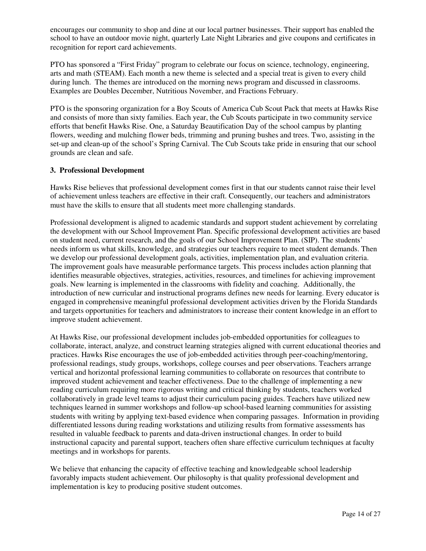encourages our community to shop and dine at our local partner businesses. Their support has enabled the school to have an outdoor movie night, quarterly Late Night Libraries and give coupons and certificates in recognition for report card achievements.

PTO has sponsored a "First Friday" program to celebrate our focus on science, technology, engineering, arts and math (STEAM). Each month a new theme is selected and a special treat is given to every child during lunch. The themes are introduced on the morning news program and discussed in classrooms. Examples are Doubles December, Nutritious November, and Fractions February.

PTO is the sponsoring organization for a Boy Scouts of America Cub Scout Pack that meets at Hawks Rise and consists of more than sixty families. Each year, the Cub Scouts participate in two community service efforts that benefit Hawks Rise. One, a Saturday Beautification Day of the school campus by planting flowers, weeding and mulching flower beds, trimming and pruning bushes and trees. Two, assisting in the set-up and clean-up of the school's Spring Carnival. The Cub Scouts take pride in ensuring that our school grounds are clean and safe.

#### **3. Professional Development**

Hawks Rise believes that professional development comes first in that our students cannot raise their level of achievement unless teachers are effective in their craft. Consequently, our teachers and administrators must have the skills to ensure that all students meet more challenging standards.

Professional development is aligned to academic standards and support student achievement by correlating the development with our School Improvement Plan. Specific professional development activities are based on student need, current research, and the goals of our School Improvement Plan. (SIP). The students' needs inform us what skills, knowledge, and strategies our teachers require to meet student demands. Then we develop our professional development goals, activities, implementation plan, and evaluation criteria. The improvement goals have measurable performance targets. This process includes action planning that identifies measurable objectives, strategies, activities, resources, and timelines for achieving improvement goals. New learning is implemented in the classrooms with fidelity and coaching. Additionally, the introduction of new curricular and instructional programs defines new needs for learning. Every educator is engaged in comprehensive meaningful professional development activities driven by the Florida Standards and targets opportunities for teachers and administrators to increase their content knowledge in an effort to improve student achievement.

At Hawks Rise, our professional development includes job-embedded opportunities for colleagues to collaborate, interact, analyze, and construct learning strategies aligned with current educational theories and practices. Hawks Rise encourages the use of job-embedded activities through peer-coaching/mentoring, professional readings, study groups, workshops, college courses and peer observations. Teachers arrange vertical and horizontal professional learning communities to collaborate on resources that contribute to improved student achievement and teacher effectiveness. Due to the challenge of implementing a new reading curriculum requiring more rigorous writing and critical thinking by students, teachers worked collaboratively in grade level teams to adjust their curriculum pacing guides. Teachers have utilized new techniques learned in summer workshops and follow-up school-based learning communities for assisting students with writing by applying text-based evidence when comparing passages. Information in providing differentiated lessons during reading workstations and utilizing results from formative assessments has resulted in valuable feedback to parents and data-driven instructional changes. In order to build instructional capacity and parental support, teachers often share effective curriculum techniques at faculty meetings and in workshops for parents.

We believe that enhancing the capacity of effective teaching and knowledgeable school leadership favorably impacts student achievement. Our philosophy is that quality professional development and implementation is key to producing positive student outcomes.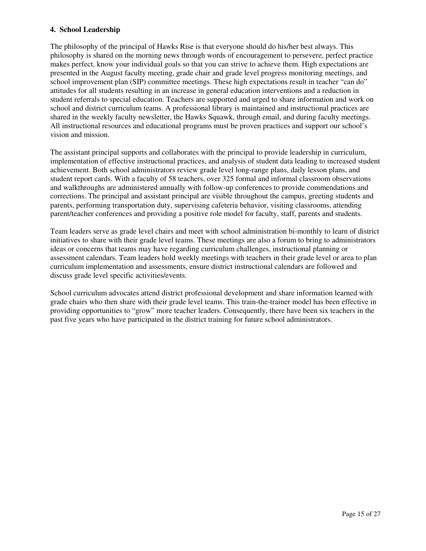#### **4. School Leadership**

The philosophy of the principal of Hawks Rise is that everyone should do his/her best always. This philosophy is shared on the morning news through words of encouragement to persevere, perfect practice makes perfect, know your individual goals so that you can strive to achieve them. High expectations are presented in the August faculty meeting, grade chair and grade level progress monitoring meetings, and school improvement plan (SIP) committee meetings. These high expectations result in teacher "can do" attitudes for all students resulting in an increase in general education interventions and a reduction in student referrals to special education. Teachers are supported and urged to share information and work on school and district curriculum teams. A professional library is maintained and instructional practices are shared in the weekly faculty newsletter, the Hawks Squawk, through email, and during faculty meetings. All instructional resources and educational programs must be proven practices and support our school's vision and mission.

The assistant principal supports and collaborates with the principal to provide leadership in curriculum, implementation of effective instructional practices, and analysis of student data leading to increased student achievement. Both school administrators review grade level long-range plans, daily lesson plans, and student report cards. With a faculty of 58 teachers, over 325 formal and informal classroom observations and walkthroughs are administered annually with follow-up conferences to provide commendations and corrections. The principal and assistant principal are visible throughout the campus, greeting students and parents, performing transportation duty, supervising cafeteria behavior, visiting classrooms, attending parent/teacher conferences and providing a positive role model for faculty, staff, parents and students.

Team leaders serve as grade level chairs and meet with school administration bi-monthly to learn of district initiatives to share with their grade level teams. These meetings are also a forum to bring to administrators ideas or concerns that teams may have regarding curriculum challenges, instructional planning or assessment calendars. Team leaders hold weekly meetings with teachers in their grade level or area to plan curriculum implementation and assessments, ensure district instructional calendars are followed and discuss grade level specific activities/events.

School curriculum advocates attend district professional development and share information learned with grade chairs who then share with their grade level teams. This train-the-trainer model has been effective in providing opportunities to "grow" more teacher leaders. Consequently, there have been six teachers in the past five years who have participated in the district training for future school administrators.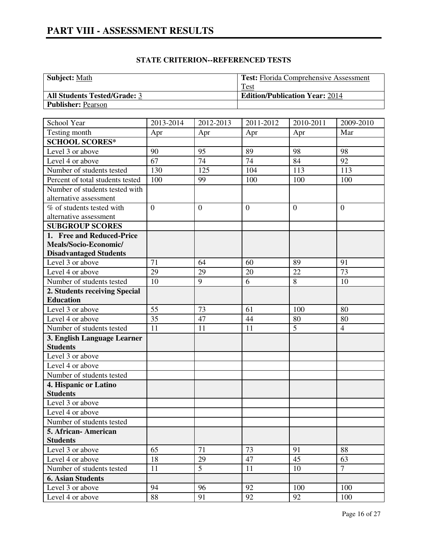| <b>Subject: Math</b>                | <b>Test:</b> Florida Comprehensive Assessment |
|-------------------------------------|-----------------------------------------------|
|                                     | Test                                          |
| <b>All Students Tested/Grade: 3</b> | <b>Edition/Publication Year: 2014</b>         |
| <b>Publisher: Pearson</b>           |                                               |

| School Year                      | 2013-2014      | 2012-2013      | 2011-2012      | 2010-2011      | 2009-2010      |
|----------------------------------|----------------|----------------|----------------|----------------|----------------|
| Testing month                    | Apr            | Apr            | Apr            | Apr            | Mar            |
| <b>SCHOOL SCORES*</b>            |                |                |                |                |                |
| Level 3 or above                 | 90             | 95             | 89             | 98             | 98             |
| Level 4 or above                 | 67             | 74             | 74             | 84             | 92             |
| Number of students tested        | 130            | 125            | 104            | 113            | 113            |
| Percent of total students tested | 100            | 99             | 100            | 100            | 100            |
| Number of students tested with   |                |                |                |                |                |
| alternative assessment           |                |                |                |                |                |
| % of students tested with        | $\overline{0}$ | $\overline{0}$ | $\overline{0}$ | $\overline{0}$ | $\overline{0}$ |
| alternative assessment           |                |                |                |                |                |
| <b>SUBGROUP SCORES</b>           |                |                |                |                |                |
| 1. Free and Reduced-Price        |                |                |                |                |                |
| Meals/Socio-Economic/            |                |                |                |                |                |
| <b>Disadvantaged Students</b>    |                |                |                |                |                |
| Level 3 or above                 | 71             | 64             | 60             | 89             | 91             |
| Level 4 or above                 | 29             | 29             | 20             | 22             | 73             |
| Number of students tested        | 10             | 9              | 6              | 8              | 10             |
| 2. Students receiving Special    |                |                |                |                |                |
| <b>Education</b>                 |                |                |                |                |                |
| Level 3 or above                 | 55             | 73             | 61             | 100            | 80             |
| Level 4 or above                 | 35             | 47             | 44             | 80             | 80             |
| Number of students tested        | 11             | 11             | 11             | 5              | $\overline{4}$ |
| 3. English Language Learner      |                |                |                |                |                |
| <b>Students</b>                  |                |                |                |                |                |
| Level $3$ or above               |                |                |                |                |                |
| Level 4 or above                 |                |                |                |                |                |
| Number of students tested        |                |                |                |                |                |
| 4. Hispanic or Latino            |                |                |                |                |                |
| <b>Students</b>                  |                |                |                |                |                |
| Level 3 or above                 |                |                |                |                |                |
| Level 4 or above                 |                |                |                |                |                |
| Number of students tested        |                |                |                |                |                |
| 5. African- American             |                |                |                |                |                |
| <b>Students</b>                  |                |                |                |                |                |
| Level 3 or above                 | 65             | 71             | 73             | 91             | 88             |
| Level 4 or above                 | 18             | 29             | 47             | 45             | 63             |
| Number of students tested        | 11             | 5              | 11             | 10             | $\tau$         |
| <b>6. Asian Students</b>         |                |                |                |                |                |
| Level 3 or above                 | 94             | 96             | 92             | 100            | 100            |
| Level 4 or above                 | 88             | 91             | 92             | 92             | 100            |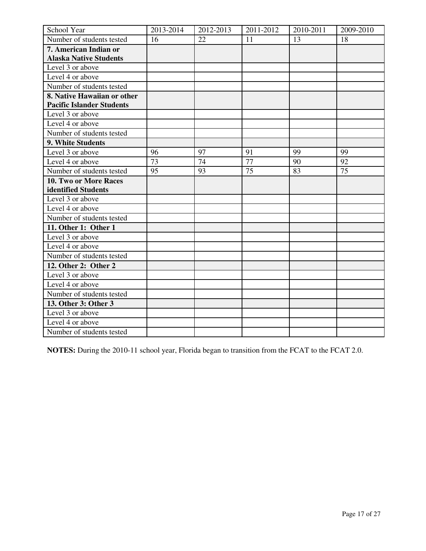| School Year                      | 2013-2014 | 2012-2013 | 2011-2012 | 2010-2011 | 2009-2010 |
|----------------------------------|-----------|-----------|-----------|-----------|-----------|
| Number of students tested        | 16        | 22        | 11        | 13        | 18        |
| 7. American Indian or            |           |           |           |           |           |
| <b>Alaska Native Students</b>    |           |           |           |           |           |
| Level 3 or above                 |           |           |           |           |           |
| Level 4 or above                 |           |           |           |           |           |
| Number of students tested        |           |           |           |           |           |
| 8. Native Hawaiian or other      |           |           |           |           |           |
| <b>Pacific Islander Students</b> |           |           |           |           |           |
| Level 3 or above                 |           |           |           |           |           |
| Level 4 or above                 |           |           |           |           |           |
| Number of students tested        |           |           |           |           |           |
| 9. White Students                |           |           |           |           |           |
| Level 3 or above                 | 96        | 97        | 91        | 99        | 99        |
| Level 4 or above                 | 73        | 74        | 77        | 90        | 92        |
| Number of students tested        | 95        | 93        | 75        | 83        | 75        |
| 10. Two or More Races            |           |           |           |           |           |
| identified Students              |           |           |           |           |           |
| Level 3 or above                 |           |           |           |           |           |
| Level 4 or above                 |           |           |           |           |           |
| Number of students tested        |           |           |           |           |           |
| 11. Other 1: Other 1             |           |           |           |           |           |
| Level 3 or above                 |           |           |           |           |           |
| Level 4 or above                 |           |           |           |           |           |
| Number of students tested        |           |           |           |           |           |
| 12. Other 2: Other 2             |           |           |           |           |           |
| Level 3 or above                 |           |           |           |           |           |
| Level 4 or above                 |           |           |           |           |           |
| Number of students tested        |           |           |           |           |           |
| 13. Other 3: Other 3             |           |           |           |           |           |
| Level 3 or above                 |           |           |           |           |           |
| Level 4 or above                 |           |           |           |           |           |
| Number of students tested        |           |           |           |           |           |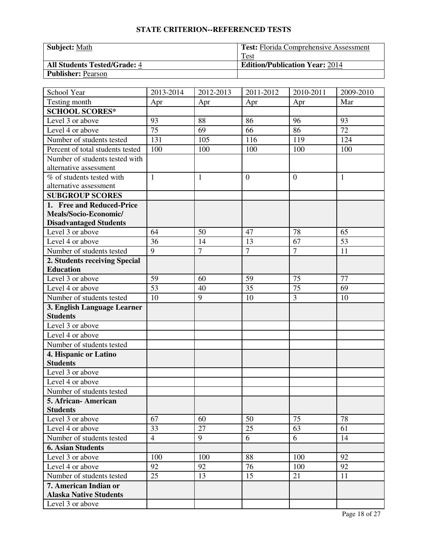| <b>Subject: Math</b>                | <b>Test:</b> Florida Comprehensive Assessment |
|-------------------------------------|-----------------------------------------------|
|                                     | Test                                          |
| <b>All Students Tested/Grade: 4</b> | <b>Edition/Publication Year: 2014</b>         |
| <b>Publisher: Pearson</b>           |                                               |

| School Year                                    | 2013-2014      | 2012-2013    | 2011-2012      | 2010-2011      | 2009-2010    |
|------------------------------------------------|----------------|--------------|----------------|----------------|--------------|
| Testing month                                  | Apr            | Apr          | Apr            | Apr            | Mar          |
| <b>SCHOOL SCORES*</b>                          |                |              |                |                |              |
| Level 3 or above                               | 93             | 88           | 86             | 96             | 93           |
| Level 4 or above                               | 75             | 69           | 66             | 86             | 72           |
| Number of students tested                      | 131            | 105          | 116            | 119            | 124          |
| Percent of total students tested               | 100            | 100          | 100            | 100            | 100          |
| Number of students tested with                 |                |              |                |                |              |
| alternative assessment                         |                |              |                |                |              |
| % of students tested with                      | $\mathbf{1}$   | $\mathbf{1}$ | $\overline{0}$ | $\overline{0}$ | $\mathbf{1}$ |
| alternative assessment                         |                |              |                |                |              |
| <b>SUBGROUP SCORES</b>                         |                |              |                |                |              |
| 1. Free and Reduced-Price                      |                |              |                |                |              |
| Meals/Socio-Economic/                          |                |              |                |                |              |
| <b>Disadvantaged Students</b>                  |                |              |                |                |              |
| Level 3 or above                               | 64             | 50           | 47             | 78             | 65           |
| Level 4 or above                               | 36             | 14           | 13             | 67             | 53           |
| Number of students tested                      | 9              | $\tau$       | $\overline{7}$ | $\overline{7}$ | 11           |
| 2. Students receiving Special                  |                |              |                |                |              |
| <b>Education</b><br>Level 3 or above           | 59             | 60           | 59             | 75             | 77           |
|                                                | 53             |              | 35             | 75             |              |
| Level 4 or above                               | 10             | 40<br>9      | 10             | 3              | 69           |
| Number of students tested                      |                |              |                |                | 10           |
| 3. English Language Learner<br><b>Students</b> |                |              |                |                |              |
| Level 3 or above                               |                |              |                |                |              |
| Level 4 or above                               |                |              |                |                |              |
| Number of students tested                      |                |              |                |                |              |
| 4. Hispanic or Latino                          |                |              |                |                |              |
| <b>Students</b>                                |                |              |                |                |              |
| Level 3 or above                               |                |              |                |                |              |
| Level 4 or above                               |                |              |                |                |              |
| Number of students tested                      |                |              |                |                |              |
| 5. African- American                           |                |              |                |                |              |
| <b>Students</b>                                |                |              |                |                |              |
| Level 3 or above                               | 67             | 60           | 50             | 75             | 78           |
| Level 4 or above                               | 33             | 27           | 25             | 63             | 61           |
| Number of students tested                      | $\overline{4}$ | 9            | 6              | 6              | 14           |
| <b>6. Asian Students</b>                       |                |              |                |                |              |
| Level 3 or above                               | 100            | 100          | 88             | 100            | 92           |
| Level 4 or above                               | 92             | 92           | 76             | 100            | 92           |
| Number of students tested                      | 25             | 13           | 15             | 21             | 11           |
| 7. American Indian or                          |                |              |                |                |              |
| <b>Alaska Native Students</b>                  |                |              |                |                |              |
| Level 3 or above                               |                |              |                |                |              |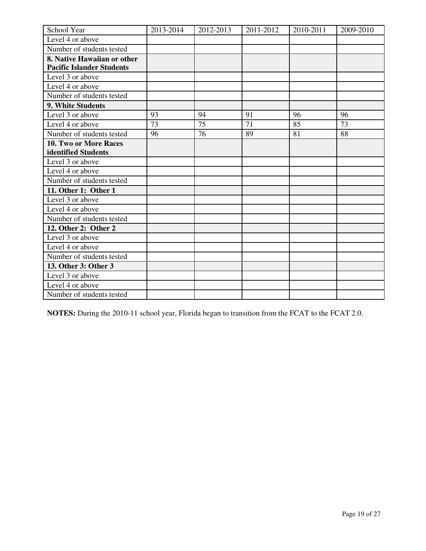| School Year                      | 2013-2014 | 2012-2013 | 2011-2012 | 2010-2011 | 2009-2010 |
|----------------------------------|-----------|-----------|-----------|-----------|-----------|
| Level 4 or above                 |           |           |           |           |           |
| Number of students tested        |           |           |           |           |           |
| 8. Native Hawaiian or other      |           |           |           |           |           |
| <b>Pacific Islander Students</b> |           |           |           |           |           |
| Level 3 or above                 |           |           |           |           |           |
| Level 4 or above                 |           |           |           |           |           |
| Number of students tested        |           |           |           |           |           |
| 9. White Students                |           |           |           |           |           |
| Level 3 or above                 | 93        | 94        | 91        | 96        | 96        |
| Level 4 or above                 | 73        | 75        | 71        | 85        | 73        |
| Number of students tested        | 96        | 76        | 89        | 81        | 88        |
| <b>10. Two or More Races</b>     |           |           |           |           |           |
| identified Students              |           |           |           |           |           |
| Level 3 or above                 |           |           |           |           |           |
| Level 4 or above                 |           |           |           |           |           |
| Number of students tested        |           |           |           |           |           |
| 11. Other 1: Other 1             |           |           |           |           |           |
| Level 3 or above                 |           |           |           |           |           |
| Level 4 or above                 |           |           |           |           |           |
| Number of students tested        |           |           |           |           |           |
| 12. Other 2: Other 2             |           |           |           |           |           |
| Level 3 or above                 |           |           |           |           |           |
| Level 4 or above                 |           |           |           |           |           |
| Number of students tested        |           |           |           |           |           |
| 13. Other 3: Other 3             |           |           |           |           |           |
| Level 3 or above                 |           |           |           |           |           |
| Level 4 or above                 |           |           |           |           |           |
| Number of students tested        |           |           |           |           |           |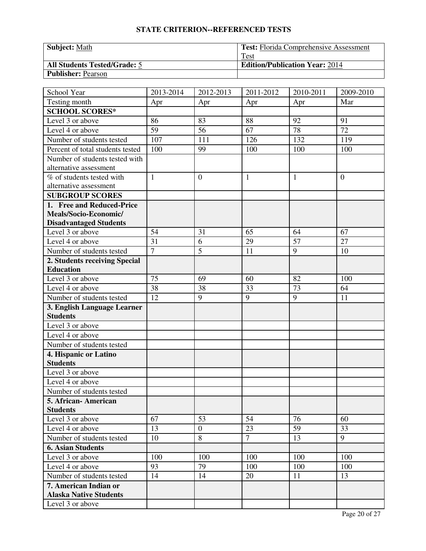| <b>Subject: Math</b>                | <b>Test:</b> Florida Comprehensive Assessment |
|-------------------------------------|-----------------------------------------------|
|                                     | Test                                          |
| <b>All Students Tested/Grade: 5</b> | <b>Edition/Publication Year: 2014</b>         |
| <b>Publisher: Pearson</b>           |                                               |

| School Year                                              | 2013-2014      | 2012-2013      | 2011-2012      | 2010-2011    | 2009-2010      |
|----------------------------------------------------------|----------------|----------------|----------------|--------------|----------------|
| Testing month                                            | Apr            | Apr            | Apr            | Apr          | Mar            |
| <b>SCHOOL SCORES*</b>                                    |                |                |                |              |                |
| Level 3 or above                                         | 86             | 83             | 88             | 92           | 91             |
| Level 4 or above                                         | 59             | 56             | 67             | 78           | 72             |
| Number of students tested                                | 107            | 111            | 126            | 132          | 119            |
| Percent of total students tested                         | 100            | 99             | 100            | 100          | 100            |
| Number of students tested with<br>alternative assessment |                |                |                |              |                |
| % of students tested with<br>alternative assessment      | $\mathbf{1}$   | $\mathbf{0}$   | $\mathbf{1}$   | $\mathbf{1}$ | $\overline{0}$ |
| <b>SUBGROUP SCORES</b>                                   |                |                |                |              |                |
| 1. Free and Reduced-Price                                |                |                |                |              |                |
| Meals/Socio-Economic/                                    |                |                |                |              |                |
| <b>Disadvantaged Students</b>                            |                |                |                |              |                |
| Level 3 or above                                         | 54             | 31             | 65             | 64           | 67             |
| Level 4 or above                                         | 31             | 6              | 29             | 57           | 27             |
| Number of students tested                                | $\overline{7}$ | $\overline{5}$ | 11             | 9            | 10             |
| 2. Students receiving Special                            |                |                |                |              |                |
| <b>Education</b>                                         |                |                |                |              |                |
| Level 3 or above                                         | 75             | 69             | 60             | 82           | 100            |
| Level 4 or above                                         | 38             | 38             | 33             | 73           | 64             |
| Number of students tested                                | 12             | 9              | 9              | 9            | 11             |
| 3. English Language Learner                              |                |                |                |              |                |
| <b>Students</b>                                          |                |                |                |              |                |
| Level 3 or above                                         |                |                |                |              |                |
| Level 4 or above                                         |                |                |                |              |                |
| Number of students tested                                |                |                |                |              |                |
| 4. Hispanic or Latino                                    |                |                |                |              |                |
| <b>Students</b>                                          |                |                |                |              |                |
| Level 3 or above                                         |                |                |                |              |                |
| Level 4 or above                                         |                |                |                |              |                |
| Number of students tested                                |                |                |                |              |                |
| 5. African - American                                    |                |                |                |              |                |
| <b>Students</b>                                          |                |                |                |              |                |
| Level 3 or above                                         | 67             | 53             | 54             | 76           | 60             |
| Level 4 or above                                         | 13             | $\mathbf{0}$   | 23             | 59           | 33             |
| Number of students tested                                | 10             | 8              | $\overline{7}$ | 13           | 9              |
| <b>6. Asian Students</b>                                 |                |                |                |              |                |
| Level 3 or above                                         | 100            | 100            | 100            | 100          | 100            |
| Level 4 or above                                         | 93             | 79             | 100            | 100          | 100            |
| Number of students tested                                | 14             | 14             | 20             | 11           | 13             |
| 7. American Indian or                                    |                |                |                |              |                |
| <b>Alaska Native Students</b>                            |                |                |                |              |                |
| Level 3 or above                                         |                |                |                |              |                |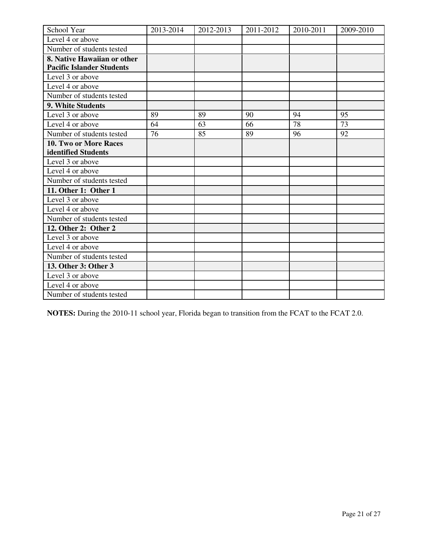| School Year                      | 2013-2014 | 2012-2013 | 2011-2012 | 2010-2011 | 2009-2010 |
|----------------------------------|-----------|-----------|-----------|-----------|-----------|
| Level 4 or above                 |           |           |           |           |           |
| Number of students tested        |           |           |           |           |           |
| 8. Native Hawaiian or other      |           |           |           |           |           |
| <b>Pacific Islander Students</b> |           |           |           |           |           |
| Level 3 or above                 |           |           |           |           |           |
| Level 4 or above                 |           |           |           |           |           |
| Number of students tested        |           |           |           |           |           |
| 9. White Students                |           |           |           |           |           |
| Level 3 or above                 | 89        | 89        | 90        | 94        | 95        |
| Level 4 or above                 | 64        | 63        | 66        | 78        | 73        |
| Number of students tested        | 76        | 85        | 89        | 96        | 92        |
| <b>10. Two or More Races</b>     |           |           |           |           |           |
| identified Students              |           |           |           |           |           |
| Level 3 or above                 |           |           |           |           |           |
| Level 4 or above                 |           |           |           |           |           |
| Number of students tested        |           |           |           |           |           |
| 11. Other 1: Other 1             |           |           |           |           |           |
| Level 3 or above                 |           |           |           |           |           |
| Level 4 or above                 |           |           |           |           |           |
| Number of students tested        |           |           |           |           |           |
| 12. Other 2: Other 2             |           |           |           |           |           |
| Level 3 or above                 |           |           |           |           |           |
| Level 4 or above                 |           |           |           |           |           |
| Number of students tested        |           |           |           |           |           |
| 13. Other 3: Other 3             |           |           |           |           |           |
| Level 3 or above                 |           |           |           |           |           |
| Level 4 or above                 |           |           |           |           |           |
| Number of students tested        |           |           |           |           |           |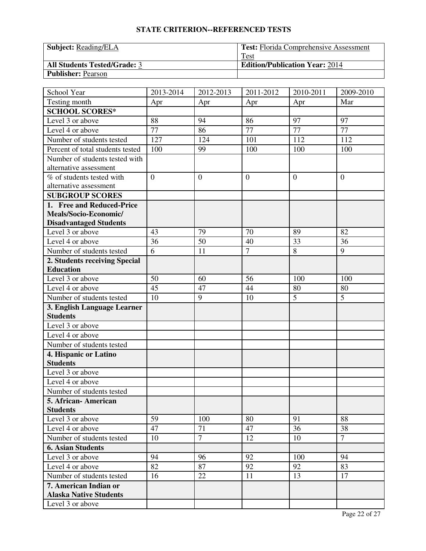| <b>Subject:</b> Reading/ELA         | <b>Test:</b> Florida Comprehensive Assessment |
|-------------------------------------|-----------------------------------------------|
|                                     | Test                                          |
| <b>All Students Tested/Grade: 3</b> | <b>Edition/Publication Year: 2014</b>         |
| <b>Publisher: Pearson</b>           |                                               |

| School Year                      | 2013-2014      | 2012-2013        | 2011-2012      | 2010-2011 | 2009-2010      |
|----------------------------------|----------------|------------------|----------------|-----------|----------------|
| Testing month                    | Apr            | Apr              | Apr            | Apr       | Mar            |
| <b>SCHOOL SCORES*</b>            |                |                  |                |           |                |
| Level 3 or above                 | 88             | 94               | 86             | 97        | 97             |
| Level 4 or above                 | 77             | 86               | 77             | 77        | 77             |
| Number of students tested        | 127            | 124              | 101            | 112       | 112            |
| Percent of total students tested | 100            | 99               | 100            | 100       | 100            |
| Number of students tested with   |                |                  |                |           |                |
| alternative assessment           |                |                  |                |           |                |
| % of students tested with        | $\overline{0}$ | $\boldsymbol{0}$ | $\overline{0}$ | $\theta$  | $\overline{0}$ |
| alternative assessment           |                |                  |                |           |                |
| <b>SUBGROUP SCORES</b>           |                |                  |                |           |                |
| 1. Free and Reduced-Price        |                |                  |                |           |                |
| Meals/Socio-Economic/            |                |                  |                |           |                |
| <b>Disadvantaged Students</b>    |                |                  |                |           |                |
| Level 3 or above                 | 43             | 79               | 70             | 89        | 82             |
| Level 4 or above                 | 36             | 50               | 40             | 33        | 36             |
| Number of students tested        | 6              | 11               | $\overline{7}$ | 8         | 9              |
| 2. Students receiving Special    |                |                  |                |           |                |
| <b>Education</b>                 |                |                  |                |           |                |
| Level 3 or above                 | 50             | 60               | 56             | 100       | 100            |
| Level 4 or above                 | 45             | 47               | 44             | 80        | 80             |
| Number of students tested        | 10             | 9                | 10             | 5         | 5              |
| 3. English Language Learner      |                |                  |                |           |                |
| <b>Students</b>                  |                |                  |                |           |                |
| Level 3 or above                 |                |                  |                |           |                |
| Level 4 or above                 |                |                  |                |           |                |
| Number of students tested        |                |                  |                |           |                |
| 4. Hispanic or Latino            |                |                  |                |           |                |
| <b>Students</b>                  |                |                  |                |           |                |
| Level 3 or above                 |                |                  |                |           |                |
| Level 4 or above                 |                |                  |                |           |                |
| Number of students tested        |                |                  |                |           |                |
| 5. African- American             |                |                  |                |           |                |
| <b>Students</b>                  |                |                  |                |           |                |
| Level 3 or above                 | 59             | 100              | 80             | 91        | 88             |
| Level 4 or above                 | 47             | 71               | 47             | 36        | 38             |
| Number of students tested        | 10             | $\overline{7}$   | 12             | 10        | $\overline{7}$ |
| <b>6. Asian Students</b>         |                |                  |                |           |                |
| Level 3 or above                 | 94             | 96               | 92             | 100       | 94             |
| Level 4 or above                 | 82             | 87               | 92             | 92        | 83             |
| Number of students tested        | 16             | 22               | 11             | 13        | 17             |
| 7. American Indian or            |                |                  |                |           |                |
| <b>Alaska Native Students</b>    |                |                  |                |           |                |
| Level 3 or above                 |                |                  |                |           |                |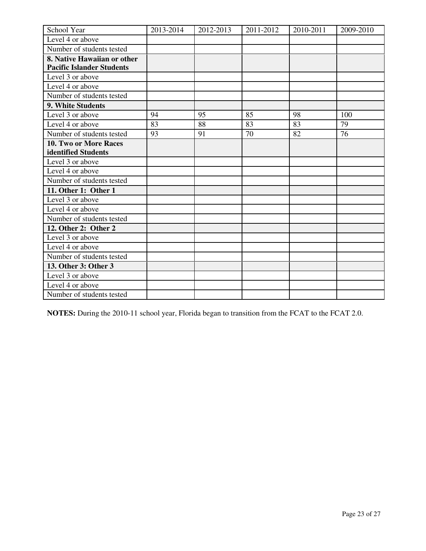| School Year                      | 2013-2014 | 2012-2013 | 2011-2012 | 2010-2011 | 2009-2010 |
|----------------------------------|-----------|-----------|-----------|-----------|-----------|
| Level 4 or above                 |           |           |           |           |           |
| Number of students tested        |           |           |           |           |           |
| 8. Native Hawaiian or other      |           |           |           |           |           |
| <b>Pacific Islander Students</b> |           |           |           |           |           |
| Level 3 or above                 |           |           |           |           |           |
| Level 4 or above                 |           |           |           |           |           |
| Number of students tested        |           |           |           |           |           |
| 9. White Students                |           |           |           |           |           |
| Level 3 or above                 | 94        | 95        | 85        | 98        | 100       |
| Level 4 or above                 | 83        | 88        | 83        | 83        | 79        |
| Number of students tested        | 93        | 91        | 70        | 82        | 76        |
| <b>10. Two or More Races</b>     |           |           |           |           |           |
| identified Students              |           |           |           |           |           |
| Level 3 or above                 |           |           |           |           |           |
| Level 4 or above                 |           |           |           |           |           |
| Number of students tested        |           |           |           |           |           |
| 11. Other 1: Other 1             |           |           |           |           |           |
| Level 3 or above                 |           |           |           |           |           |
| Level 4 or above                 |           |           |           |           |           |
| Number of students tested        |           |           |           |           |           |
| 12. Other 2: Other 2             |           |           |           |           |           |
| Level 3 or above                 |           |           |           |           |           |
| Level 4 or above                 |           |           |           |           |           |
| Number of students tested        |           |           |           |           |           |
| 13. Other 3: Other 3             |           |           |           |           |           |
| Level 3 or above                 |           |           |           |           |           |
| Level 4 or above                 |           |           |           |           |           |
| Number of students tested        |           |           |           |           |           |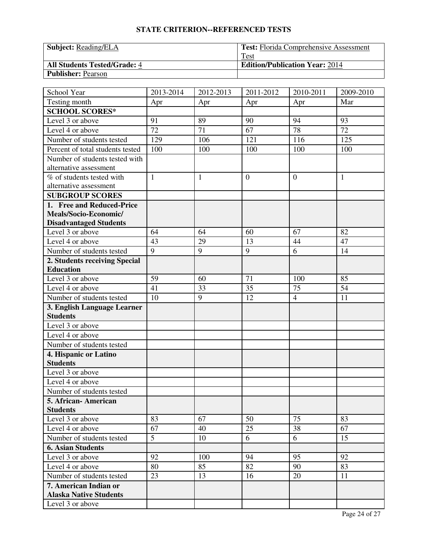| <b>Subject:</b> Reading/ELA         | <b>Test:</b> Florida Comprehensive Assessment |
|-------------------------------------|-----------------------------------------------|
|                                     | Test                                          |
| <b>All Students Tested/Grade: 4</b> | <b>Edition/Publication Year: 2014</b>         |
| <b>Publisher: Pearson</b>           |                                               |

| School Year                              | 2013-2014    | 2012-2013    | 2011-2012      | 2010-2011      | 2009-2010    |
|------------------------------------------|--------------|--------------|----------------|----------------|--------------|
| Testing month                            | Apr          | Apr          | Apr            | Apr            | Mar          |
| <b>SCHOOL SCORES*</b>                    |              |              |                |                |              |
| Level 3 or above                         | 91           | 89           | 90             | 94             | 93           |
| Level 4 or above                         | 72           | 71           | 67             | 78             | 72           |
| Number of students tested                | 129          | 106          | 121            | 116            | 125          |
| Percent of total students tested         | 100          | 100          | 100            | 100            | 100          |
| Number of students tested with           |              |              |                |                |              |
| alternative assessment                   |              |              |                |                |              |
| % of students tested with                | $\mathbf{1}$ | $\mathbf{1}$ | $\overline{0}$ | $\theta$       | $\mathbf{1}$ |
| alternative assessment                   |              |              |                |                |              |
| <b>SUBGROUP SCORES</b>                   |              |              |                |                |              |
| 1. Free and Reduced-Price                |              |              |                |                |              |
| Meals/Socio-Economic/                    |              |              |                |                |              |
| <b>Disadvantaged Students</b>            |              |              |                |                |              |
| Level 3 or above                         | 64           | 64           | 60             | 67             | 82           |
| Level 4 or above                         | 43           | 29           | 13             | 44             | 47           |
| Number of students tested                | 9            | 9            | 9              | 6              | 14           |
| 2. Students receiving Special            |              |              |                |                |              |
| <b>Education</b>                         |              |              |                |                |              |
| Level 3 or above                         | 59           | 60           | 71             | 100            | 85           |
| Level 4 or above                         | 41           | 33           | 35             | 75             | 54           |
| Number of students tested                | 10           | 9            | 12             | $\overline{4}$ | 11           |
| 3. English Language Learner              |              |              |                |                |              |
| <b>Students</b>                          |              |              |                |                |              |
| Level 3 or above                         |              |              |                |                |              |
| Level 4 or above                         |              |              |                |                |              |
| Number of students tested                |              |              |                |                |              |
| 4. Hispanic or Latino<br><b>Students</b> |              |              |                |                |              |
| Level 3 or above                         |              |              |                |                |              |
| Level 4 or above                         |              |              |                |                |              |
| Number of students tested                |              |              |                |                |              |
| 5. African- American                     |              |              |                |                |              |
| <b>Students</b>                          |              |              |                |                |              |
| Level 3 or above                         | 83           | 67           | 50             | 75             | 83           |
| Level 4 or above                         | 67           | 40           | 25             | 38             | 67           |
| Number of students tested                | 5            | 10           | 6              | 6              | 15           |
| <b>6. Asian Students</b>                 |              |              |                |                |              |
| Level 3 or above                         | 92           | 100          | 94             | 95             | 92           |
| Level 4 or above                         | 80           | 85           | 82             | 90             | 83           |
| Number of students tested                | 23           | 13           | 16             | 20             | 11           |
| 7. American Indian or                    |              |              |                |                |              |
| <b>Alaska Native Students</b>            |              |              |                |                |              |
| Level 3 or above                         |              |              |                |                |              |
|                                          |              |              |                |                |              |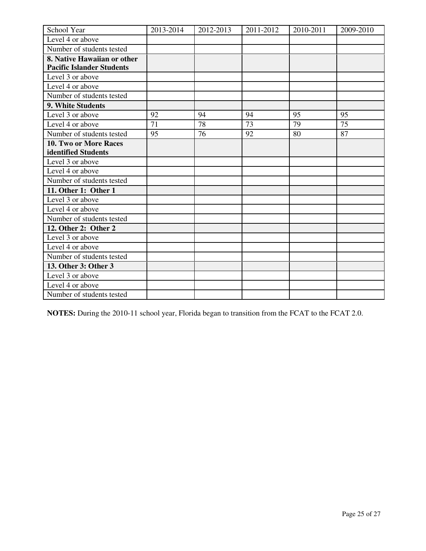| School Year                      | 2013-2014 | 2012-2013 | 2011-2012 | 2010-2011 | 2009-2010 |
|----------------------------------|-----------|-----------|-----------|-----------|-----------|
| Level 4 or above                 |           |           |           |           |           |
| Number of students tested        |           |           |           |           |           |
| 8. Native Hawaiian or other      |           |           |           |           |           |
| <b>Pacific Islander Students</b> |           |           |           |           |           |
| Level 3 or above                 |           |           |           |           |           |
| Level 4 or above                 |           |           |           |           |           |
| Number of students tested        |           |           |           |           |           |
| 9. White Students                |           |           |           |           |           |
| Level 3 or above                 | 92        | 94        | 94        | 95        | 95        |
| Level 4 or above                 | 71        | 78        | 73        | 79        | 75        |
| Number of students tested        | 95        | 76        | 92        | 80        | 87        |
| 10. Two or More Races            |           |           |           |           |           |
| identified Students              |           |           |           |           |           |
| Level 3 or above                 |           |           |           |           |           |
| Level 4 or above                 |           |           |           |           |           |
| Number of students tested        |           |           |           |           |           |
| 11. Other 1: Other 1             |           |           |           |           |           |
| Level 3 or above                 |           |           |           |           |           |
| Level 4 or above                 |           |           |           |           |           |
| Number of students tested        |           |           |           |           |           |
| 12. Other 2: Other 2             |           |           |           |           |           |
| Level 3 or above                 |           |           |           |           |           |
| Level 4 or above                 |           |           |           |           |           |
| Number of students tested        |           |           |           |           |           |
| 13. Other 3: Other 3             |           |           |           |           |           |
| Level 3 or above                 |           |           |           |           |           |
| Level 4 or above                 |           |           |           |           |           |
| Number of students tested        |           |           |           |           |           |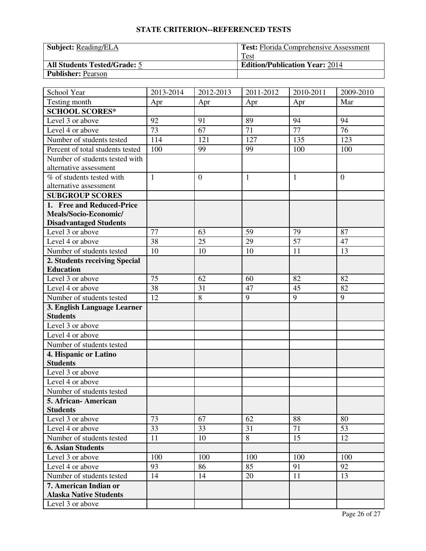| <b>Subject:</b> Reading/ELA         | <b>Test:</b> Florida Comprehensive Assessment |
|-------------------------------------|-----------------------------------------------|
|                                     | Test                                          |
| <b>All Students Tested/Grade: 5</b> | <b>Edition/Publication Year: 2014</b>         |
| <b>Publisher: Pearson</b>           |                                               |

| School Year                      | 2013-2014    | 2012-2013        | 2011-2012    | 2010-2011       | 2009-2010      |
|----------------------------------|--------------|------------------|--------------|-----------------|----------------|
| Testing month                    | Apr          | Apr              | Apr          | Apr             | Mar            |
| <b>SCHOOL SCORES*</b>            |              |                  |              |                 |                |
| Level 3 or above                 | 92           | 91               | 89           | 94              | 94             |
| Level 4 or above                 | 73           | 67               | 71           | $\overline{77}$ | 76             |
| Number of students tested        | 114          | 121              | 127          | 135             | 123            |
| Percent of total students tested | 100          | 99               | 99           | 100             | 100            |
| Number of students tested with   |              |                  |              |                 |                |
| alternative assessment           |              |                  |              |                 |                |
| % of students tested with        | $\mathbf{1}$ | $\boldsymbol{0}$ | $\mathbf{1}$ | $\mathbf{1}$    | $\overline{0}$ |
| alternative assessment           |              |                  |              |                 |                |
| <b>SUBGROUP SCORES</b>           |              |                  |              |                 |                |
| 1. Free and Reduced-Price        |              |                  |              |                 |                |
| Meals/Socio-Economic/            |              |                  |              |                 |                |
| <b>Disadvantaged Students</b>    |              |                  |              |                 |                |
| Level 3 or above                 | 77           | 63               | 59           | 79              | 87             |
| Level 4 or above                 | 38           | 25               | 29           | 57              | 47             |
| Number of students tested        | 10           | 10               | 10           | 11              | 13             |
| 2. Students receiving Special    |              |                  |              |                 |                |
| <b>Education</b>                 |              |                  |              |                 |                |
| Level 3 or above                 | 75           | 62               | 60           | 82              | 82             |
| Level 4 or above                 | 38           | 31               | 47           | 45              | 82             |
| Number of students tested        | 12           | 8                | 9            | 9               | 9              |
| 3. English Language Learner      |              |                  |              |                 |                |
| <b>Students</b>                  |              |                  |              |                 |                |
| Level 3 or above                 |              |                  |              |                 |                |
| Level 4 or above                 |              |                  |              |                 |                |
| Number of students tested        |              |                  |              |                 |                |
| 4. Hispanic or Latino            |              |                  |              |                 |                |
| <b>Students</b>                  |              |                  |              |                 |                |
| Level 3 or above                 |              |                  |              |                 |                |
| Level 4 or above                 |              |                  |              |                 |                |
| Number of students tested        |              |                  |              |                 |                |
| 5. African- American             |              |                  |              |                 |                |
| <b>Students</b>                  |              |                  |              |                 |                |
| Level 3 or above                 | 73           | 67               | 62           | 88              | 80             |
| Level 4 or above                 | 33           | 33               | 31           | 71              | 53             |
| Number of students tested        | 11           | 10               | 8            | 15              | 12             |
| <b>6. Asian Students</b>         |              |                  |              |                 |                |
| Level 3 or above                 | 100          | 100              | 100          | 100             | 100            |
| Level 4 or above                 | 93           | 86               | 85           | 91              | 92             |
| Number of students tested        | 14           | 14               | 20           | 11              | 13             |
| 7. American Indian or            |              |                  |              |                 |                |
| <b>Alaska Native Students</b>    |              |                  |              |                 |                |
| Level 3 or above                 |              |                  |              |                 |                |